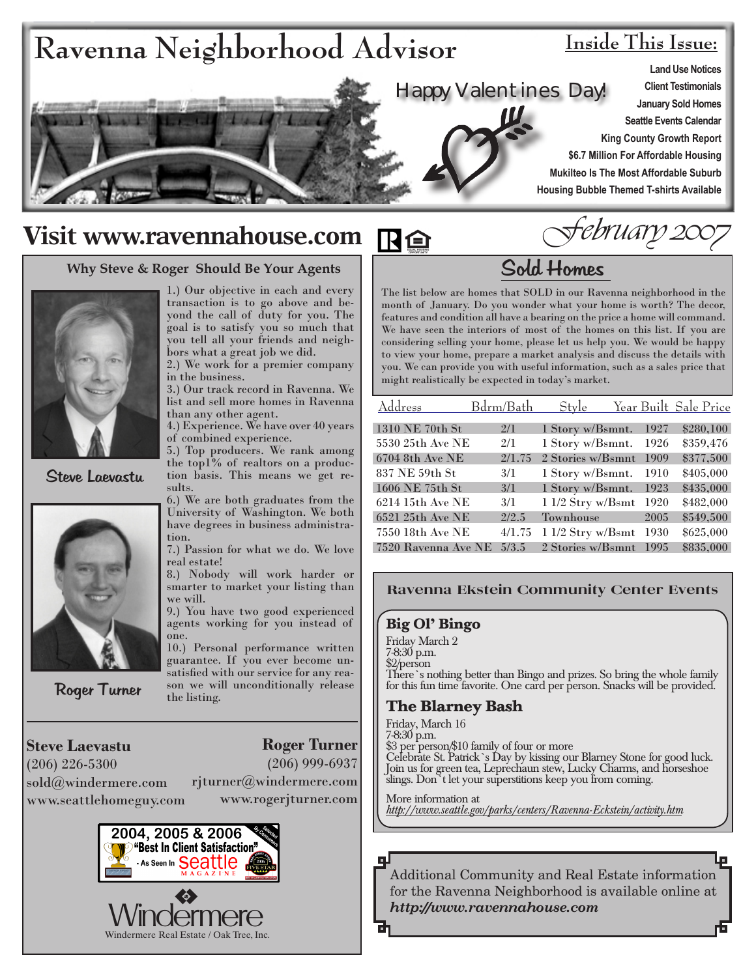

# **Visit www.ravennahouse.com**

#### **Why Steve & Roger Should Be Your Agents**



Steve Laevastu



Roger Turner

1.) Our objective in each and every transaction is to go above and beyond the call of duty for you. The goal is to satisfy you so much that you tell all your friends and neighbors what a great job we did.

2.) We work for a premier company in the business.

3.) Our track record in Ravenna. We list and sell more homes in Ravenna than any other agent.

4.) Experience. We have over 40 years of combined experience.

5.) Top producers. We rank among the top1% of realtors on a production basis. This means we get results.

6.) We are both graduates from the University of Washington. We both have degrees in business administration.

7.) Passion for what we do. We love real estate!

8.) Nobody will work harder or smarter to market your listing than we will.

9.) You have two good experienced agents working for you instead of one.

10.) Personal performance written guarantee. If you ever become unsatisfied with our service for any reason we will unconditionally release the listing.

**Steve Laevastu** (206) 226-5300 sold@windermere.com www.seattlehomeguy.com

**Roger Turner** (206) 999-6937 rjturner@windermere.com

www.rogerjturner.com



February 2007

# Sold Homes

The list below are homes that SOLD in our Ravenna neighborhood in the month of January. Do you wonder what your home is worth? The decor, features and condition all have a bearing on the price a home will command. We have seen the interiors of most of the homes on this list. If you are considering selling your home, please let us help you. We would be happy to view your home, prepare a market analysis and discuss the details with you. We can provide you with useful information, such as a sales price that might realistically be expected in today's market.

| Address             | Bdrm/Bath | Style              |      | Year Built Sale Price |
|---------------------|-----------|--------------------|------|-----------------------|
| 1310 NE 70th St     | 2/1       | 1 Story w/Bsmnt.   | 1927 | \$280,100             |
| 5530 25th Ave NE    | 2/1       | 1 Story w/Bsmnt.   | 1926 | \$359,476             |
| 6704 8th Ave NE     | 2/1.75    | 2 Stories w/Bsmnt  | 1909 | \$377,500             |
| 837 NE 59th St      | 3/1       | 1 Story w/Bsmnt.   | 1910 | \$405,000             |
| 1606 NE 75th St     | 3/1       | 1 Story w/Bsmnt.   | 1923 | \$435,000             |
| 6214 15th Ave NE    | 3/1       | $11/2$ Stry w/Bsmt | 1920 | \$482,000             |
| 6521 25th Ave NE    | 2/2.5     | Townhouse          | 2005 | \$549,500             |
| 7550 18th Ave NE    | 4/1.75    | $11/2$ Stry w/Bsmt | 1930 | \$625,000             |
| 7520 Ravenna Ave NE | 5/3.5     | 2 Stories w/Bsmnt  | 1995 | \$835,000             |

#### **Ravenna Ekstein Community Center Events**

#### **Big Ol' Bingo**

Friday March 2 7-8:30 p.m. \$2/person There's nothing better than Bingo and prizes. So bring the whole family for this fun time favorite. One card per person. Snacks will be provided.

### **The Blarney Bash**

Friday, March 16 7-8:30 p.m. \$3 per person/\$10 family of four or more Celebrate St. Patrick's Day by kissing our Blarney Stone for good luck. Join us for green tea, Leprechaun stew, Lucky Charms, and horseshoe slings. Don't let your superstitions keep you from coming.

More information at *http://www.seattle.gov/parks/centers/Ravenna-Eckstein/activity.htm*

Additional Community and Real Estate information for the Ravenna Neighborhood is available online at *http://www.ravennahouse.com*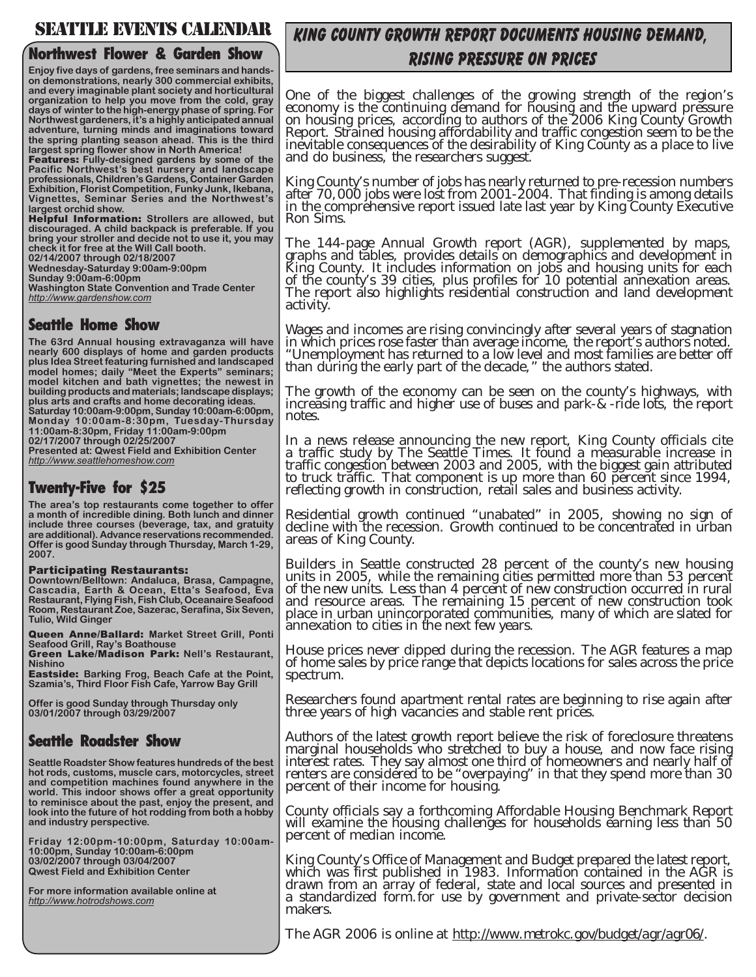### SEATTLE EVENTS CALENDAR

#### **Northwest Flower & Garden Show**

**Enjoy five days of gardens, free seminars and handson demonstrations, nearly 300 commercial exhibits, and every imaginable plant society and horticultural organization to help you move from the cold, gray days of winter to the high-energy phase of spring. For Northwest gardeners, it's a highly anticipated annual adventure, turning minds and imaginations toward the spring planting season ahead. This is the third largest spring flower show in North America!** 

Features: **Fully-designed gardens by some of the Pacific Northwest's best nursery and landscape professionals, Children's Gardens, Container Garden Exhibition, Florist Competition, Funky Junk, Ikebana, Vignettes, Seminar Series and the Northwest's largest orchid show.** 

Helpful Information: **Strollers are allowed, but discouraged. A child backpack is preferable. If you bring your stroller and decide not to use it, you may check it for free at the Will Call booth.** 

**02/14/2007 through 02/18/2007** 

**Wednesday-Saturday 9:00am-9:00pm Sunday 9:00am-6:00pm**

**Washington State Convention and Trade Center** *http://www.gardenshow.com*

### **Seattle Home Show**

**The 63rd Annual housing extravaganza will have nearly 600 displays of home and garden products plus Idea Street featuring furnished and landscaped model homes; daily "Meet the Experts" seminars; model kitchen and bath vignettes; the newest in building products and materials; landscape displays; plus arts and crafts and home decorating ideas. Saturday 10:00am-9:00pm, Sunday 10:00am-6:00pm, Monday 10:00am-8:30pm, Tuesday-Thursday 11:00am-8:30pm, Friday 11:00am-9:00pm**

**02/17/2007 through 02/25/2007 Presented at: Qwest Field and Exhibition Center** *http://www.seattlehomeshow.com*

### **Twenty-Five for \$25**

**The area's top restaurants come together to offer a month of incredible dining. Both lunch and dinner include three courses (beverage, tax, and gratuity are additional). Advance reservations recommended. Offer is good Sunday through Thursday, March 1-29, 2007.** 

#### Participating Restaurants:

**Downtown/Belltown: Andaluca, Brasa, Campagne, Cascadia, Earth & Ocean, Etta's Seafood, Eva Restaurant, Flying Fish, Fish Club, Oceanaire Seafood Room, Restaurant Zoe, Sazerac, Serafina, Six Seven, Tulio, Wild Ginger** 

Queen Anne/Ballard: **Market Street Grill, Ponti Seafood Grill, Ray's Boathouse**  Green Lake/Madison Park: **Nell's Restaurant,** 

**Nishino**  Eastside: **Barking Frog, Beach Cafe at the Point, Szamia's, Third Floor Fish Cafe, Yarrow Bay Grill** 

**Offer is good Sunday through Thursday only 03/01/2007 through 03/29/2007**

### **Seattle Roadster Show**

**Seattle Roadster Show features hundreds of the best hot rods, customs, muscle cars, motorcycles, street and competition machines found anywhere in the world. This indoor shows offer a great opportunity to reminisce about the past, enjoy the present, and look into the future of hot rodding from both a hobby and industry perspective.** 

**Friday 12:00pm-10:00pm, Saturday 10:00am-10:00pm, Sunday 10:00am-6:00pm 03/02/2007 through 03/04/2007 Qwest Field and Exhibition Center**

**For more information available online at**  *http://www.hotrodshows.com*

### King County Growth Report Documents Housing Demand, Rising Pressure on Prices

One of the biggest challenges of the growing strength of the region's economy is the continuing demand for housing and the upward pressure on housing prices, according to authors of the 2006 King County Growth Report. Strained housing affordability and traffic congestion seem to be the inevitable consequences of the desirability of King County as a place to live and do business, the researchers suggest.

King County's number of jobs has nearly returned to pre-recession numbers after 70,000 jobs were lost from 2001-2004. That finding is among details in the comprehensive report issued late last year by King County Executive Ron Sims.

The 144-page Annual Growth report (AGR), supplemented by maps, graphs and tables, provides details on demographics and development in King County. It includes information on jobs and housing units for each of the county's 39 cities, plus profiles for 10 potential annexation areas. The report also highlights residential construction and land development activity.

Wages and incomes are rising convincingly after several years of stagnation in which prices rose faster than average income, the report's authors noted. "Unemployment has returned to a low level and most families are better off than during the early part of the decade," the authors stated.

The growth of the economy can be seen on the county's highways, with increasing traffic and higher use of buses and park-&-ride lots, the report notes.

In a news release announcing the new report, King County officials cite a traffic study by The Seattle Times. It found a measurable increase in traffic congestion between 2003 and 2005, with the biggest gain attributed to truck traffic. That component is up more than 60 percent since 1994, reflecting growth in construction, retail sales and business activity.

Residential growth continued "unabated" in 2005, showing no sign of decline with the recession. Growth continued to be concentrated in urban areas of King County.

Builders in Seattle constructed 28 percent of the county's new housing units in 2005, while the remaining cities permitted more than 53 percent of the new units. Less than 4 percent of new construction occurred in rural and resource areas. The remaining 15 percent of new construction took place in urban unincorporated communities, many of which are slated for annexation to cities in the next few years.

House prices never dipped during the recession. The AGR features a map of home sales by price range that depicts locations for sales across the price spectrum.

Researchers found apartment rental rates are beginning to rise again after three years of high vacancies and stable rent prices.

Authors of the latest growth report believe the risk of foreclosure threatens marginal households who stretched to buy a house, and now face rising interest rates. They say almost one third of homeowners and nearly half of renters are considered to be "overpaying" in that they spend more than 30 percent of their income for housing.

County officials say a forthcoming Affordable Housing Benchmark Report will examine the housing challenges for households earning less than 50 percent of median income.

King County's Office of Management and Budget prepared the latest report, which was first published in 1983. Information contained in the AGR is drawn from an array of federal, state and local sources and presented in a standardized form.for use by government and private-sector decision makers.

The AGR 2006 is online at *http://www.metrokc.gov/budget/agr/agr06*/.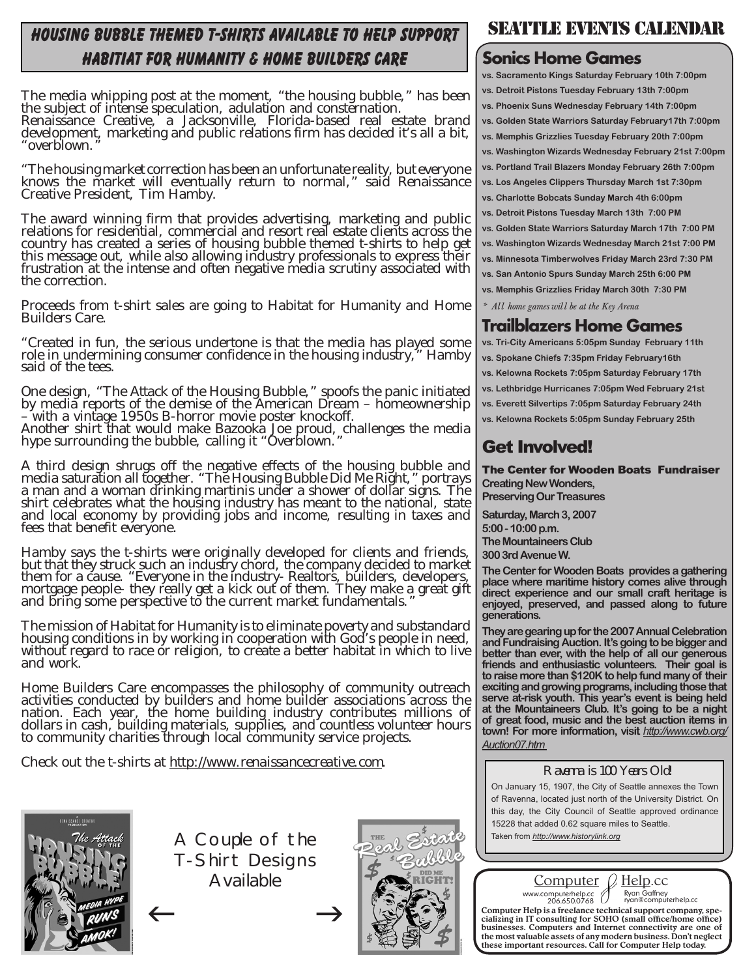## housing bubble themed t-shirts available to help support habitiat for humanity & home builders care

The media whipping post at the moment, "the housing bubble," has been the subject of intense speculation, adulation and consternation.

Renaissance Creative, a Jacksonville, Florida-based real estate brand development, marketing and public relations firm has decided it's all a bit, "overblown."

"The housing market correction has been an unfortunate reality, but everyone knows the market will eventually return to normal," said Renaissance Creative President, Tim Hamby.

The award winning firm that provides advertising, marketing and public relations for residential, commercial and resort real estate clients across the country has created a series of housing bubble themed t-shirts to help get this message out, while also allowing industry professionals to express their frustration at the intense and often negative media scrutiny associated with the correction.

Proceeds from t-shirt sales are going to Habitat for Humanity and Home Builders Care.

"Created in fun, the serious undertone is that the media has played some role in undermining consumer confidence in the housing industry," Hamby said of the tees.

One design, "The Attack of the Housing Bubble," spoofs the panic initiated by media reports of the demise of the American Dream – homeownership – with a vintage 1950s B-horror movie poster knockoff.

Another shirt that would make Bazooka Joe proud, challenges the media hype surrounding the bubble, calling it "Overblown."

A third design shrugs off the negative effects of the housing bubble and media saturation all together. "The Housing Bubble Did Me Right," portrays a man and a woman drinking martinis under a shower of dollar signs. The shirt celebrates what the housing industry has meant to the national, state and local economy by providing jobs and income, resulting in taxes and fees that benefit everyone.

Hamby says the t-shirts were originally developed for clients and friends, but that they struck such an industry chord, the company decided to market them for a cause. "Everyone in the industry- Realtors, builders, developers, mortgage people- they really get a kick out of them. They make a great gift and bring some perspective to the current market fundamentals."

The mission of Habitat for Humanity is to eliminate poverty and substandard housing conditions in by working in cooperation with God's people in need, without regard to race or religion, to create a better habitat in which to live and work.

Home Builders Care encompasses the philosophy of community outreach activities conducted by builders and home builder associations across the nation. Each year, the home building industry contributes millions of dollars in cash, building materials, supplies, and countless volunteer hours to community charities through local community service projects.

Check out the t-shirts at *http://www.renaissancecreative.com*.



A Couple of the T-Shirt Designs Available



## SEATTLE EVENTS CALENDAR

### **Sonics Home Games**

**vs. Sacramento Kings Saturday February 10th 7:00pm vs. Detroit Pistons Tuesday February 13th 7:00pm vs. Phoenix Suns Wednesday February 14th 7:00pm vs. Golden State Warriors Saturday February17th 7:00pm vs. Memphis Grizzlies Tuesday February 20th 7:00pm vs. Washington Wizards Wednesday February 21st 7:00pm vs. Portland Trail Blazers Monday February 26th 7:00pm vs. Los Angeles Clippers Thursday March 1st 7:30pm vs. Charlotte Bobcats Sunday March 4th 6:00pm vs. Detroit Pistons Tuesday March 13th 7:00 PM vs. Golden State Warriors Saturday March 17th 7:00 PM vs. Washington Wizards Wednesday March 21st 7:00 PM vs. Minnesota Timberwolves Friday March 23rd 7:30 PM vs. San Antonio Spurs Sunday March 25th 6:00 PM vs. Memphis Grizzlies Friday March 30th 7:30 PM** *\* All home games will be at the Key Arena*

### **Trailblazers Home Games**

**vs. Tri-City Americans 5:05pm Sunday February 11th vs. Spokane Chiefs 7:35pm Friday February16th vs. Kelowna Rockets 7:05pm Saturday February 17th vs. Lethbridge Hurricanes 7:05pm Wed February 21st vs. Everett Silvertips 7:05pm Saturday February 24th vs. Kelowna Rockets 5:05pm Sunday February 25th**

### Get Involved!

The Center for Wooden Boats Fundraiser **Creating New Wonders, Preserving Our Treasures**

**Saturday, March 3, 2007 5:00 - 10:00 p.m. The Mountaineers Club 300 3rd Avenue W.**

**The Center for Wooden Boats provides a gathering place where maritime history comes alive through direct experience and our small craft heritage is enjoyed, preserved, and passed along to future generations.** 

**They are gearing up for the 2007 Annual Celebration and Fundraising Auction. It's going to be bigger and better than ever, with the help of all our generous friends and enthusiastic volunteers. Their goal is to raise more than \$120K to help fund many of their exciting and growing programs, including those that serve at-risk youth. This year's event is being held at the Mountaineers Club. It's going to be a night of great food, music and the best auction items in town! For more information, visit** *http://www.cwb.org/ Auction07.htm* 

### Ravenna is 100 Years Old!

On January 15, 1907, the City of Seattle annexes the Town of Ravenna, located just north of the University District. On this day, the City Council of Seattle approved ordinance 15228 that added 0.62 square miles to Seattle. Taken from *http://www.historylink.org*



 $\leftarrow$   $\rightarrow$